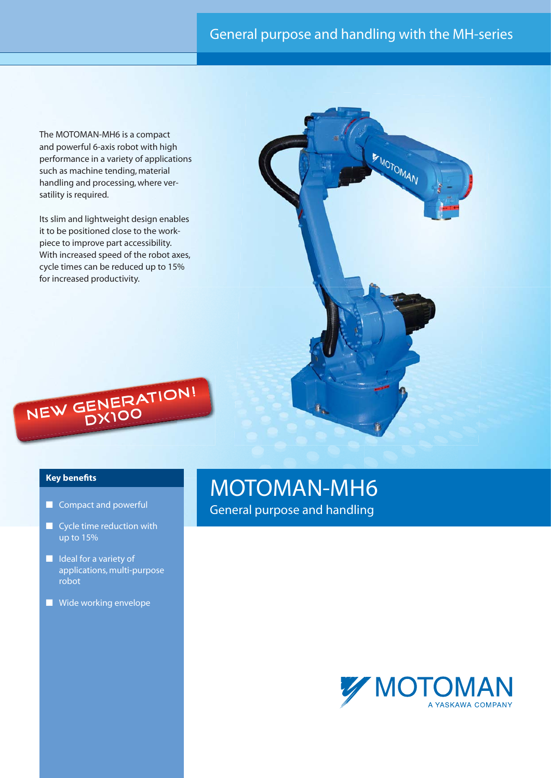## General purpose and handling with the MH-series

The MOTOMAN-MH6 is a compact and powerful 6-axis robot with high performance in a variety of applications such as machine tending, material handling and processing, where versatility is required.

Its slim and lightweight design enables it to be positioned close to the workpiece to improve part accessibility. With increased speed of the robot axes, cycle times can be reduced up to 15% for increased productivity.





### **Key benefits**

- Compact and powerful
- Cycle time reduction with up to 15%
- Ideal for a variety of applications, multi-purpose robot
- Wide working envelope

# MOTOMAN-MH6

General purpose and handling